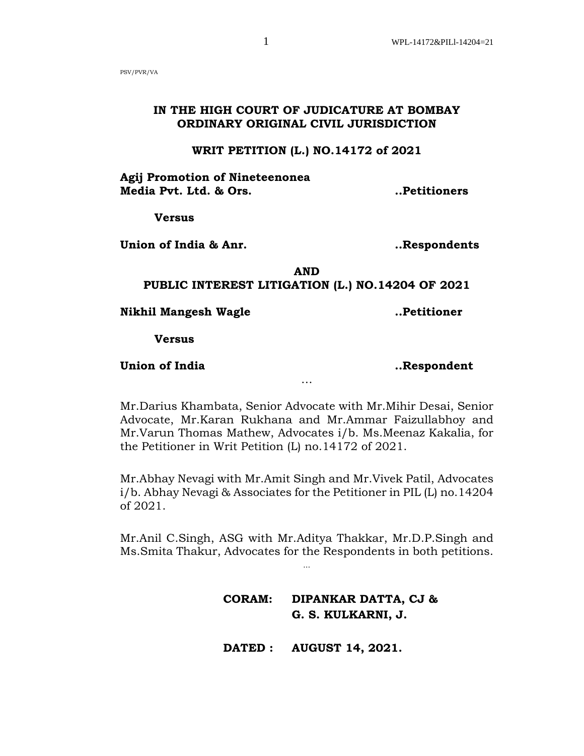PSV/PVR/VA

# **IN THE HIGH COURT OF JUDICATURE AT BOMBAY ORDINARY ORIGINAL CIVIL JURISDICTION**

## **WRIT PETITION (L.) NO.14172 of 2021**

**Agij Promotion of Nineteenonea Media Pvt. Ltd. & Ors. ..Petitioners**

**Versus**

**Union of India & Anr. ..Respondents**

**AND PUBLIC INTEREST LITIGATION (L.) NO.14204 OF 2021**

**Nikhil Mangesh Wagle ..Petitioner**

**Versus**

**Union of India ..Respondent**

Mr.Darius Khambata, Senior Advocate with Mr.Mihir Desai, Senior Advocate, Mr.Karan Rukhana and Mr.Ammar Faizullabhoy and Mr.Varun Thomas Mathew, Advocates i/b. Ms.Meenaz Kakalia, for the Petitioner in Writ Petition (L) no.14172 of 2021.

…

Mr.Abhay Nevagi with Mr.Amit Singh and Mr.Vivek Patil, Advocates i/b. Abhay Nevagi & Associates for the Petitioner in PIL (L) no.14204 of 2021.

Mr.Anil C.Singh, ASG with Mr.Aditya Thakkar, Mr.D.P.Singh and Ms.Smita Thakur, Advocates for the Respondents in both petitions.

...

**CORAM: DIPANKAR DATTA, CJ & G. S. KULKARNI, J.**

 **DATED : AUGUST 14, 2021.**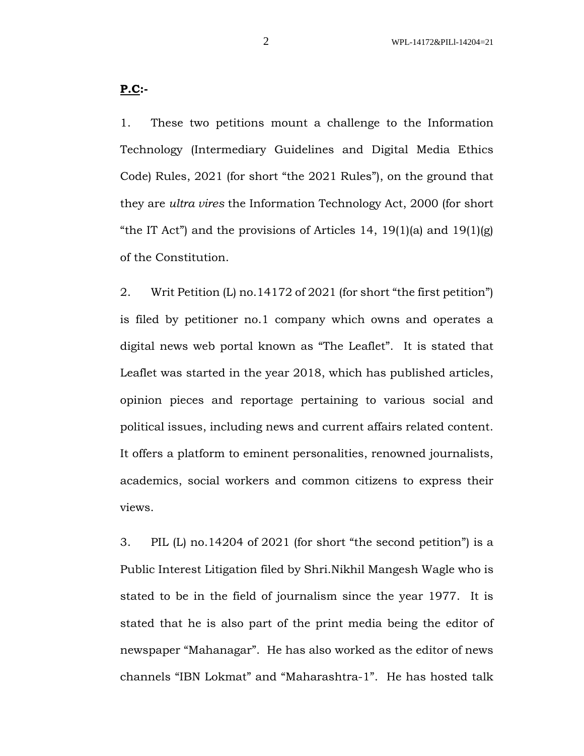1. These two petitions mount a challenge to the Information Technology (Intermediary Guidelines and Digital Media Ethics Code) Rules, 2021 (for short "the 2021 Rules"), on the ground that they are *ultra vires* the Information Technology Act, 2000 (for short "the IT Act") and the provisions of Articles 14, 19(1)(a) and 19(1)(g) of the Constitution.

2. Writ Petition (L) no.14172 of 2021 (for short "the first petition") is filed by petitioner no.1 company which owns and operates a digital news web portal known as "The Leaflet". It is stated that Leaflet was started in the year 2018, which has published articles, opinion pieces and reportage pertaining to various social and political issues, including news and current affairs related content. It offers a platform to eminent personalities, renowned journalists, academics, social workers and common citizens to express their views.

3. PIL (L) no.14204 of 2021 (for short "the second petition") is a Public Interest Litigation filed by Shri.Nikhil Mangesh Wagle who is stated to be in the field of journalism since the year 1977. It is stated that he is also part of the print media being the editor of newspaper "Mahanagar". He has also worked as the editor of news channels "IBN Lokmat" and "Maharashtra-1". He has hosted talk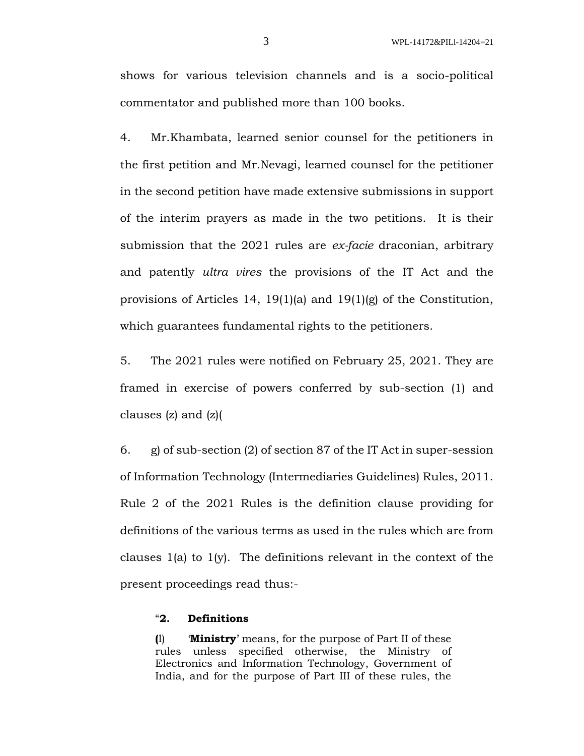shows for various television channels and is a socio-political commentator and published more than 100 books.

4. Mr.Khambata, learned senior counsel for the petitioners in the first petition and Mr.Nevagi, learned counsel for the petitioner in the second petition have made extensive submissions in support of the interim prayers as made in the two petitions. It is their submission that the 2021 rules are *ex-facie* draconian, arbitrary and patently *ultra vires* the provisions of the IT Act and the provisions of Articles 14, 19(1)(a) and 19(1)(g) of the Constitution, which guarantees fundamental rights to the petitioners.

5. The 2021 rules were notified on February 25, 2021. They are framed in exercise of powers conferred by sub-section (1) and clauses (z) and (z)(

6. g) of sub-section (2) of section 87 of the IT Act in super-session of Information Technology (Intermediaries Guidelines) Rules, 2011. Rule 2 of the 2021 Rules is the definition clause providing for definitions of the various terms as used in the rules which are from clauses 1(a) to  $1(y)$ . The definitions relevant in the context of the present proceedings read thus:-

## "**2. Definitions**

**(**l) '**Ministry**' means, for the purpose of Part II of these rules unless specified otherwise, the Ministry of Electronics and Information Technology, Government of India, and for the purpose of Part III of these rules, the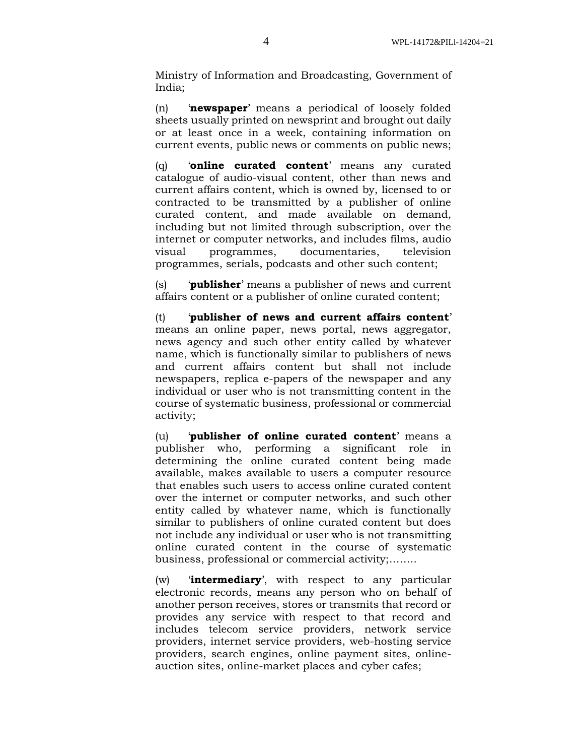Ministry of Information and Broadcasting, Government of India;

(n) '**newspaper**' means a periodical of loosely folded sheets usually printed on newsprint and brought out daily or at least once in a week, containing information on current events, public news or comments on public news;

(q) '**online curated content**' means any curated catalogue of audio-visual content, other than news and current affairs content, which is owned by, licensed to or contracted to be transmitted by a publisher of online curated content, and made available on demand, including but not limited through subscription, over the internet or computer networks, and includes films, audio visual programmes, documentaries, television programmes, serials, podcasts and other such content;

(s) '**publisher**' means a publisher of news and current affairs content or a publisher of online curated content;

(t) '**publisher of news and current affairs content**' means an online paper, news portal, news aggregator, news agency and such other entity called by whatever name, which is functionally similar to publishers of news and current affairs content but shall not include newspapers, replica e-papers of the newspaper and any individual or user who is not transmitting content in the course of systematic business, professional or commercial activity;

(u) '**publisher of online curated content**' means a publisher who, performing a significant role in determining the online curated content being made available, makes available to users a computer resource that enables such users to access online curated content over the internet or computer networks, and such other entity called by whatever name, which is functionally similar to publishers of online curated content but does not include any individual or user who is not transmitting online curated content in the course of systematic business, professional or commercial activity;……..

(w) '**intermediary**', with respect to any particular electronic records, means any person who on behalf of another person receives, stores or transmits that record or provides any service with respect to that record and includes telecom service providers, network service providers, internet service providers, web-hosting service providers, search engines, online payment sites, onlineauction sites, online-market places and cyber cafes;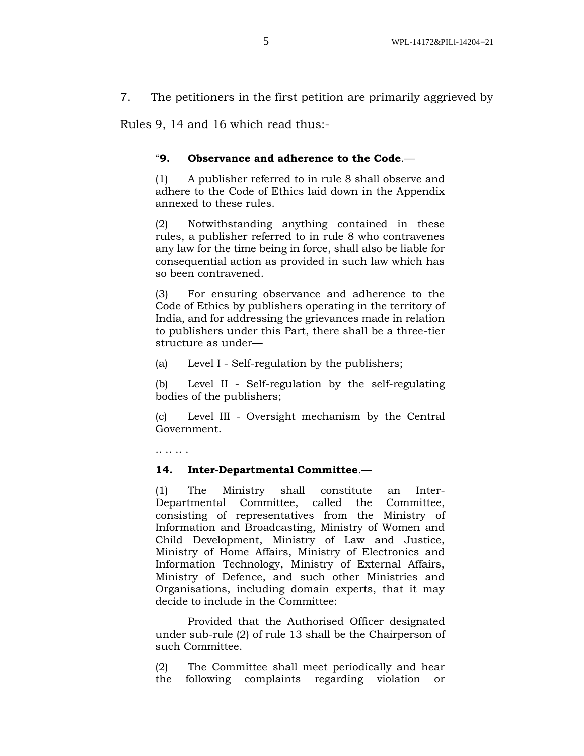7. The petitioners in the first petition are primarily aggrieved by

Rules 9, 14 and 16 which read thus:-

## "**9. Observance and adherence to the Code**.—

(1) A publisher referred to in rule 8 shall observe and adhere to the Code of Ethics laid down in the Appendix annexed to these rules.

(2) Notwithstanding anything contained in these rules, a publisher referred to in rule 8 who contravenes any law for the time being in force, shall also be liable for consequential action as provided in such law which has so been contravened.

(3) For ensuring observance and adherence to the Code of Ethics by publishers operating in the territory of India, and for addressing the grievances made in relation to publishers under this Part, there shall be a three-tier structure as under—

(a) Level I - Self-regulation by the publishers;

(b) Level II - Self-regulation by the self-regulating bodies of the publishers;

(c) Level III - Oversight mechanism by the Central Government.

.. .. .. .

#### **14. Inter-Departmental Committee**.—

(1) The Ministry shall constitute an Inter-Departmental Committee, called the Committee, consisting of representatives from the Ministry of Information and Broadcasting, Ministry of Women and Child Development, Ministry of Law and Justice, Ministry of Home Affairs, Ministry of Electronics and Information Technology, Ministry of External Affairs, Ministry of Defence, and such other Ministries and Organisations, including domain experts, that it may decide to include in the Committee:

Provided that the Authorised Officer designated under sub-rule (2) of rule 13 shall be the Chairperson of such Committee.

(2) The Committee shall meet periodically and hear the following complaints regarding violation or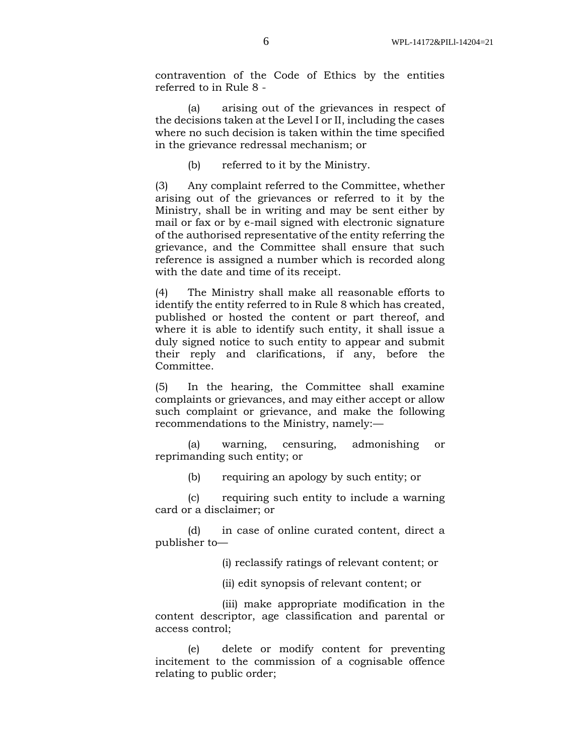contravention of the Code of Ethics by the entities referred to in Rule 8 -

(a) arising out of the grievances in respect of the decisions taken at the Level I or II, including the cases where no such decision is taken within the time specified in the grievance redressal mechanism; or

(b) referred to it by the Ministry.

(3) Any complaint referred to the Committee, whether arising out of the grievances or referred to it by the Ministry, shall be in writing and may be sent either by mail or fax or by e-mail signed with electronic signature of the authorised representative of the entity referring the grievance, and the Committee shall ensure that such reference is assigned a number which is recorded along with the date and time of its receipt.

(4) The Ministry shall make all reasonable efforts to identify the entity referred to in Rule 8 which has created, published or hosted the content or part thereof, and where it is able to identify such entity, it shall issue a duly signed notice to such entity to appear and submit their reply and clarifications, if any, before the Committee.

(5) In the hearing, the Committee shall examine complaints or grievances, and may either accept or allow such complaint or grievance, and make the following recommendations to the Ministry, namely:—

(a) warning, censuring, admonishing or reprimanding such entity; or

(b) requiring an apology by such entity; or

(c) requiring such entity to include a warning card or a disclaimer; or

(d) in case of online curated content, direct a publisher to—

(i) reclassify ratings of relevant content; or

(ii) edit synopsis of relevant content; or

(iii) make appropriate modification in the content descriptor, age classification and parental or access control;

(e) delete or modify content for preventing incitement to the commission of a cognisable offence relating to public order;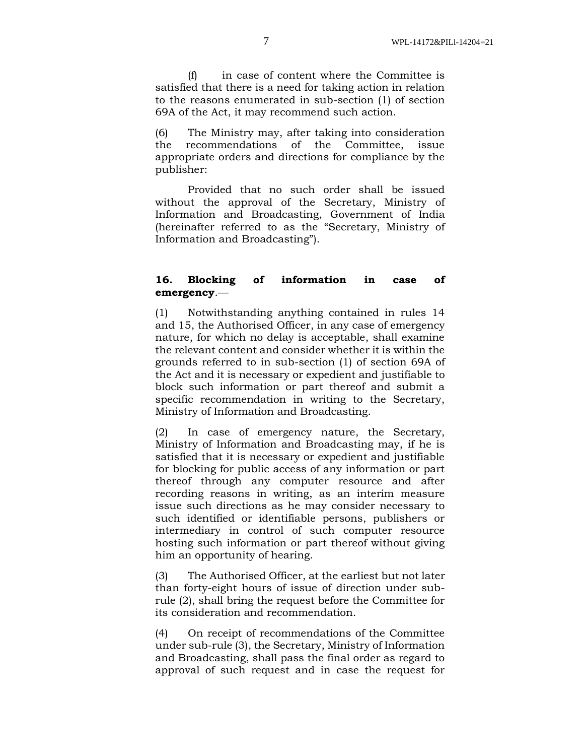(f) in case of content where the Committee is satisfied that there is a need for taking action in relation to the reasons enumerated in sub-section (1) of section 69A of the Act, it may recommend such action.

(6) The Ministry may, after taking into consideration the recommendations of the Committee, issue appropriate orders and directions for compliance by the publisher:

Provided that no such order shall be issued without the approval of the Secretary, Ministry of Information and Broadcasting, Government of India (hereinafter referred to as the "Secretary, Ministry of Information and Broadcasting").

## **16. Blocking of information in case of emergency**.—

(1) Notwithstanding anything contained in rules 14 and 15, the Authorised Officer, in any case of emergency nature, for which no delay is acceptable, shall examine the relevant content and consider whether it is within the grounds referred to in sub-section (1) of section 69A of the Act and it is necessary or expedient and justifiable to block such information or part thereof and submit a specific recommendation in writing to the Secretary, Ministry of Information and Broadcasting.

(2) In case of emergency nature, the Secretary, Ministry of Information and Broadcasting may, if he is satisfied that it is necessary or expedient and justifiable for blocking for public access of any information or part thereof through any computer resource and after recording reasons in writing, as an interim measure issue such directions as he may consider necessary to such identified or identifiable persons, publishers or intermediary in control of such computer resource hosting such information or part thereof without giving him an opportunity of hearing.

(3) The Authorised Officer, at the earliest but not later than forty-eight hours of issue of direction under subrule (2), shall bring the request before the Committee for its consideration and recommendation.

(4) On receipt of recommendations of the Committee under sub-rule (3), the Secretary, Ministry of Information and Broadcasting, shall pass the final order as regard to approval of such request and in case the request for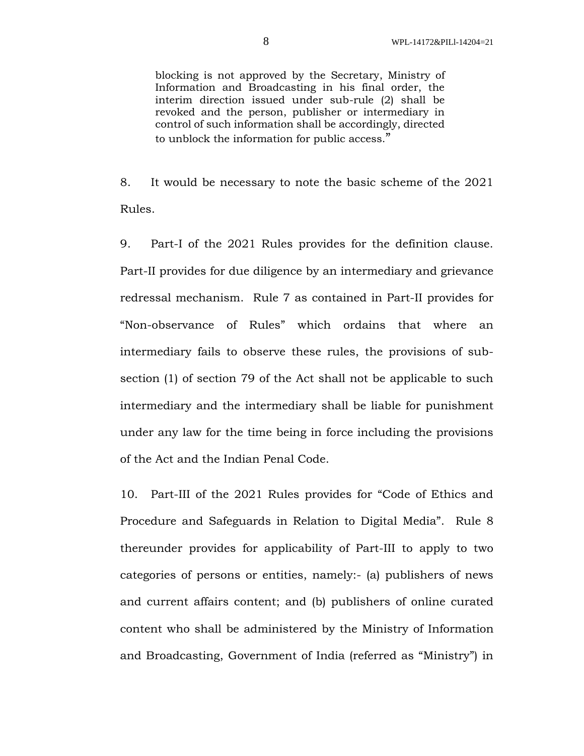blocking is not approved by the Secretary, Ministry of Information and Broadcasting in his final order, the interim direction issued under sub-rule (2) shall be revoked and the person, publisher or intermediary in control of such information shall be accordingly, directed to unblock the information for public access."

8. It would be necessary to note the basic scheme of the 2021 Rules.

9. Part-I of the 2021 Rules provides for the definition clause. Part-II provides for due diligence by an intermediary and grievance redressal mechanism. Rule 7 as contained in Part-II provides for "Non-observance of Rules" which ordains that where an intermediary fails to observe these rules, the provisions of subsection (1) of section 79 of the Act shall not be applicable to such intermediary and the intermediary shall be liable for punishment under any law for the time being in force including the provisions of the Act and the Indian Penal Code.

10. Part-III of the 2021 Rules provides for "Code of Ethics and Procedure and Safeguards in Relation to Digital Media". Rule 8 thereunder provides for applicability of Part-III to apply to two categories of persons or entities, namely:- (a) publishers of news and current affairs content; and (b) publishers of online curated content who shall be administered by the Ministry of Information and Broadcasting, Government of India (referred as "Ministry") in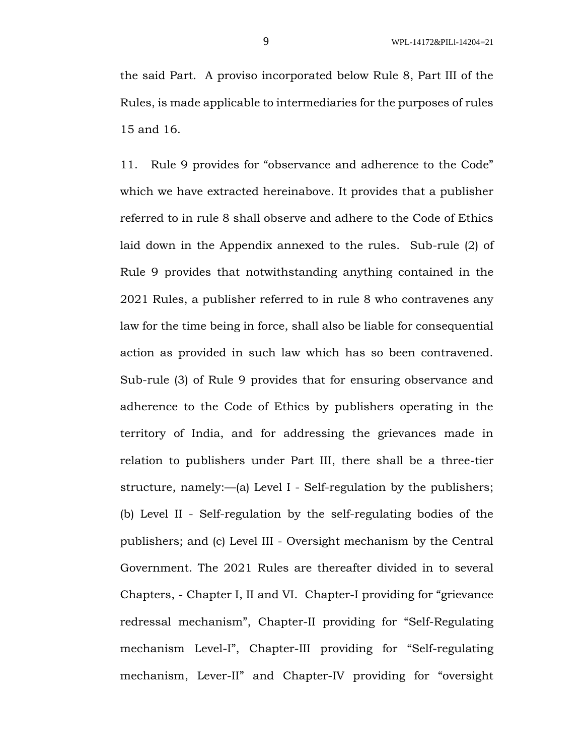the said Part. A proviso incorporated below Rule 8, Part III of the Rules, is made applicable to intermediaries for the purposes of rules 15 and 16.

11. Rule 9 provides for "observance and adherence to the Code" which we have extracted hereinabove. It provides that a publisher referred to in rule 8 shall observe and adhere to the Code of Ethics laid down in the Appendix annexed to the rules. Sub-rule (2) of Rule 9 provides that notwithstanding anything contained in the 2021 Rules, a publisher referred to in rule 8 who contravenes any law for the time being in force, shall also be liable for consequential action as provided in such law which has so been contravened. Sub-rule (3) of Rule 9 provides that for ensuring observance and adherence to the Code of Ethics by publishers operating in the territory of India, and for addressing the grievances made in relation to publishers under Part III, there shall be a three-tier structure, namely:—(a) Level I - Self-regulation by the publishers; (b) Level II - Self-regulation by the self-regulating bodies of the publishers; and (c) Level III - Oversight mechanism by the Central Government. The 2021 Rules are thereafter divided in to several Chapters, - Chapter I, II and VI. Chapter-I providing for "grievance redressal mechanism", Chapter-II providing for "Self-Regulating mechanism Level-I", Chapter-III providing for "Self-regulating mechanism, Lever-II" and Chapter-IV providing for "oversight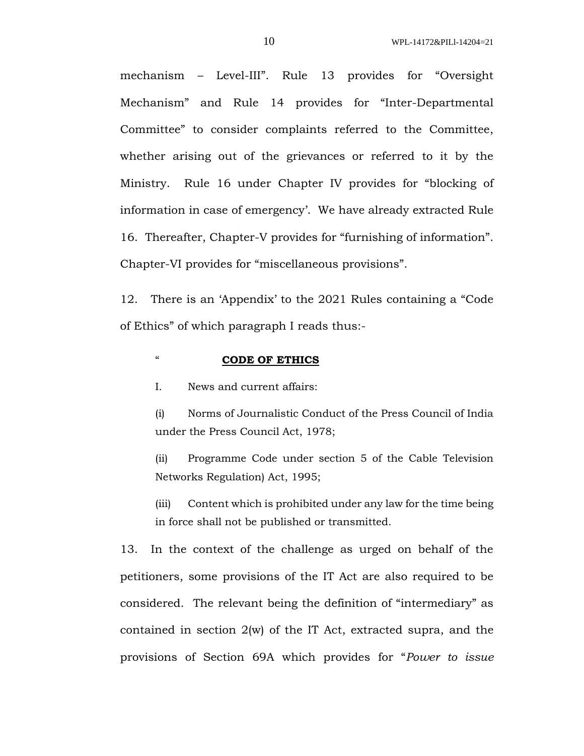mechanism – Level-III". Rule 13 provides for "Oversight Mechanism" and Rule 14 provides for "Inter-Departmental Committee" to consider complaints referred to the Committee, whether arising out of the grievances or referred to it by the Ministry. Rule 16 under Chapter IV provides for "blocking of information in case of emergency'. We have already extracted Rule 16. Thereafter, Chapter-V provides for "furnishing of information". Chapter-VI provides for "miscellaneous provisions".

12. There is an 'Appendix' to the 2021 Rules containing a "Code of Ethics" of which paragraph I reads thus:-

## " **CODE OF ETHICS**

I. News and current affairs:

(i) Norms of Journalistic Conduct of the Press Council of India under the Press Council Act, 1978;

(ii) Programme Code under section 5 of the Cable Television Networks Regulation) Act, 1995;

(iii) Content which is prohibited under any law for the time being in force shall not be published or transmitted.

13. In the context of the challenge as urged on behalf of the petitioners, some provisions of the IT Act are also required to be considered. The relevant being the definition of "intermediary" as contained in section 2(w) of the IT Act, extracted supra, and the provisions of Section 69A which provides for "*Power to issue*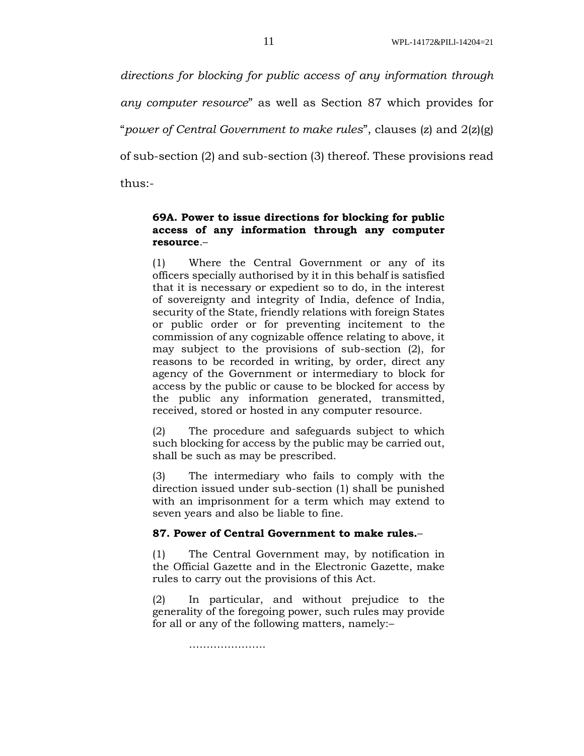*directions for blocking for public access of any information through any computer resource*" as well as Section 87 which provides for "*power of Central Government to make rules*", clauses (z) and 2(z)(g) of sub-section (2) and sub-section (3) thereof. These provisions read thus:-

## **69A. Power to issue directions for blocking for public access of any information through any computer resource**.–

(1) Where the Central Government or any of its officers specially authorised by it in this behalf is satisfied that it is necessary or expedient so to do, in the interest of sovereignty and integrity of India, defence of India, security of the State, friendly relations with foreign States or public order or for preventing incitement to the commission of any cognizable offence relating to above, it may subject to the provisions of sub-section (2), for reasons to be recorded in writing, by order, direct any agency of the Government or intermediary to block for access by the public or cause to be blocked for access by the public any information generated, transmitted, received, stored or hosted in any computer resource.

(2) The procedure and safeguards subject to which such blocking for access by the public may be carried out, shall be such as may be prescribed.

(3) The intermediary who fails to comply with the direction issued under sub-section (1) shall be punished with an imprisonment for a term which may extend to seven years and also be liable to fine.

## **87. Power of Central Government to make rules.**–

(1) The Central Government may, by notification in the Official Gazette and in the Electronic Gazette, make rules to carry out the provisions of this Act.

(2) In particular, and without prejudice to the generality of the foregoing power, such rules may provide for all or any of the following matters, namely:–

………………………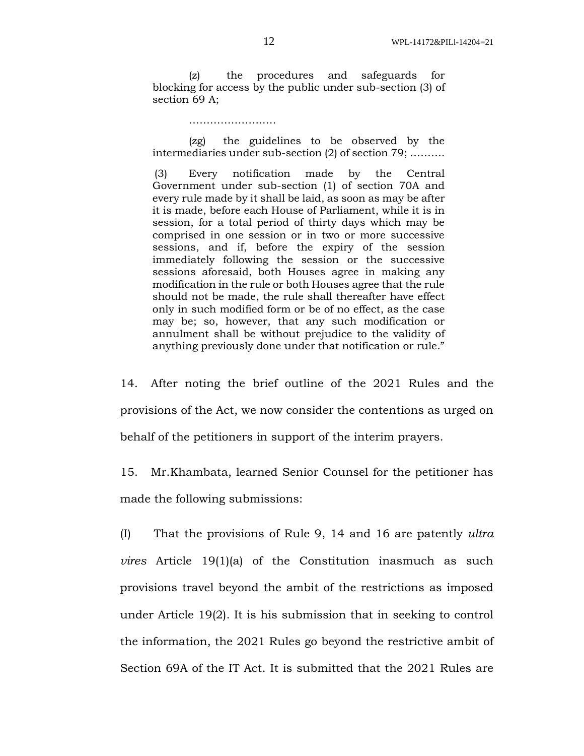(z) the procedures and safeguards for blocking for access by the public under sub-section (3) of section 69 A;

#### …………………………

(zg) the guidelines to be observed by the intermediaries under sub-section (2) of section 79; ……….

(3) Every notification made by the Central Government under sub-section (1) of section 70A and every rule made by it shall be laid, as soon as may be after it is made, before each House of Parliament, while it is in session, for a total period of thirty days which may be comprised in one session or in two or more successive sessions, and if, before the expiry of the session immediately following the session or the successive sessions aforesaid, both Houses agree in making any modification in the rule or both Houses agree that the rule should not be made, the rule shall thereafter have effect only in such modified form or be of no effect, as the case may be; so, however, that any such modification or annulment shall be without prejudice to the validity of anything previously done under that notification or rule."

14. After noting the brief outline of the 2021 Rules and the provisions of the Act, we now consider the contentions as urged on behalf of the petitioners in support of the interim prayers.

15. Mr.Khambata, learned Senior Counsel for the petitioner has made the following submissions:

(I) That the provisions of Rule 9, 14 and 16 are patently *ultra vires* Article 19(1)(a) of the Constitution inasmuch as such provisions travel beyond the ambit of the restrictions as imposed under Article 19(2). It is his submission that in seeking to control the information, the 2021 Rules go beyond the restrictive ambit of Section 69A of the IT Act. It is submitted that the 2021 Rules are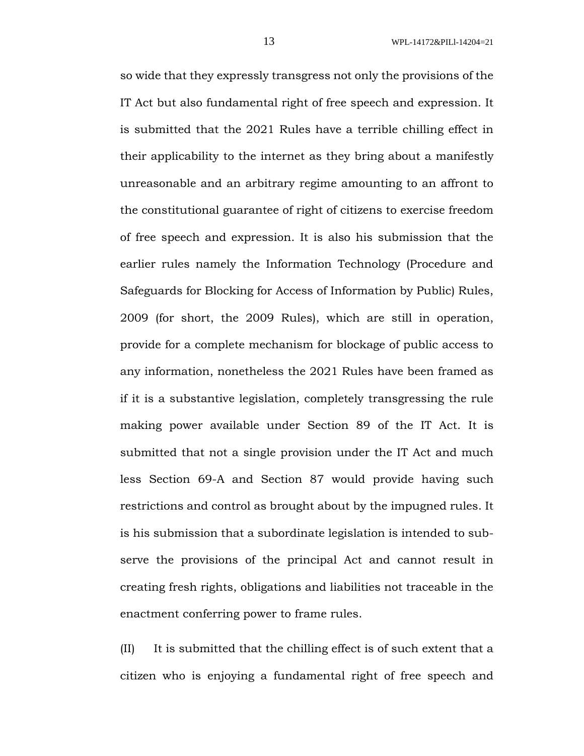so wide that they expressly transgress not only the provisions of the IT Act but also fundamental right of free speech and expression. It is submitted that the 2021 Rules have a terrible chilling effect in their applicability to the internet as they bring about a manifestly unreasonable and an arbitrary regime amounting to an affront to the constitutional guarantee of right of citizens to exercise freedom of free speech and expression. It is also his submission that the earlier rules namely the Information Technology (Procedure and Safeguards for Blocking for Access of Information by Public) Rules, 2009 (for short, the 2009 Rules), which are still in operation, provide for a complete mechanism for blockage of public access to any information, nonetheless the 2021 Rules have been framed as if it is a substantive legislation, completely transgressing the rule making power available under Section 89 of the IT Act. It is submitted that not a single provision under the IT Act and much less Section 69-A and Section 87 would provide having such restrictions and control as brought about by the impugned rules. It is his submission that a subordinate legislation is intended to subserve the provisions of the principal Act and cannot result in creating fresh rights, obligations and liabilities not traceable in the enactment conferring power to frame rules.

(II) It is submitted that the chilling effect is of such extent that a citizen who is enjoying a fundamental right of free speech and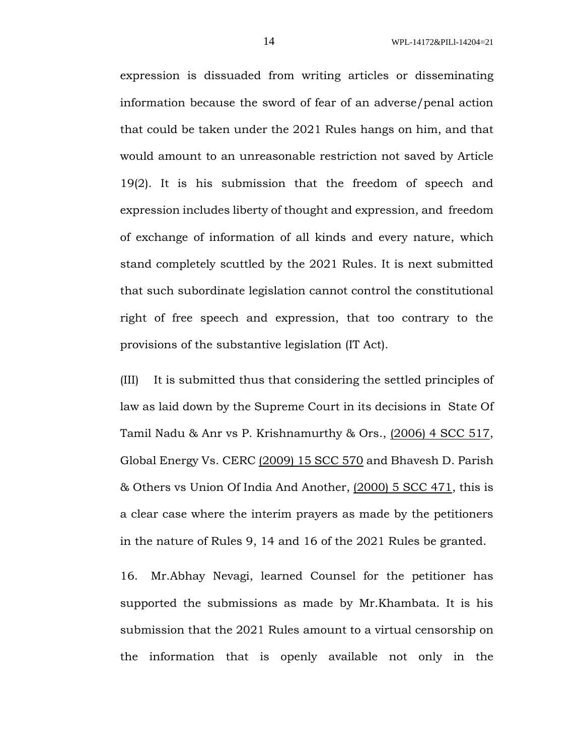expression is dissuaded from writing articles or disseminating information because the sword of fear of an adverse/penal action that could be taken under the 2021 Rules hangs on him, and that would amount to an unreasonable restriction not saved by Article 19(2). It is his submission that the freedom of speech and expression includes liberty of thought and expression, and freedom of exchange of information of all kinds and every nature, which stand completely scuttled by the 2021 Rules. It is next submitted that such subordinate legislation cannot control the constitutional right of free speech and expression, that too contrary to the provisions of the substantive legislation (IT Act).

(III) It is submitted thus that considering the settled principles of law as laid down by the Supreme Court in its decisions in State Of Tamil Nadu & Anr vs P. Krishnamurthy & Ors., (2006) 4 SCC 517, Global Energy Vs. CERC (2009) 15 SCC 570 and Bhavesh D. Parish & Others vs Union Of India And Another, (2000) 5 SCC 471, this is a clear case where the interim prayers as made by the petitioners in the nature of Rules 9, 14 and 16 of the 2021 Rules be granted.

16. Mr.Abhay Nevagi, learned Counsel for the petitioner has supported the submissions as made by Mr.Khambata. It is his submission that the 2021 Rules amount to a virtual censorship on the information that is openly available not only in the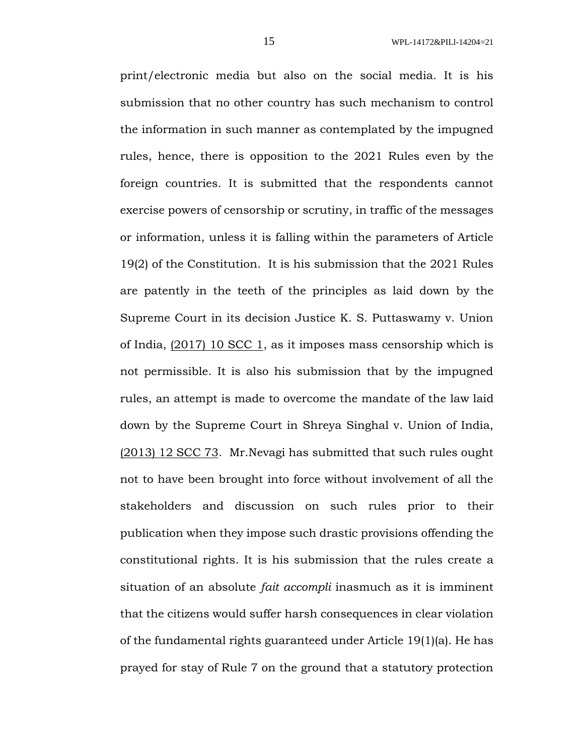print/electronic media but also on the social media. It is his submission that no other country has such mechanism to control the information in such manner as contemplated by the impugned rules, hence, there is opposition to the 2021 Rules even by the foreign countries. It is submitted that the respondents cannot exercise powers of censorship or scrutiny, in traffic of the messages or information, unless it is falling within the parameters of Article 19(2) of the Constitution. It is his submission that the 2021 Rules are patently in the teeth of the principles as laid down by the Supreme Court in its decision Justice K. S. Puttaswamy v. Union of India, (2017) 10 SCC 1, as it imposes mass censorship which is not permissible. It is also his submission that by the impugned rules, an attempt is made to overcome the mandate of the law laid down by the Supreme Court in Shreya Singhal v. Union of India, (2013) 12 SCC 73. Mr.Nevagi has submitted that such rules ought not to have been brought into force without involvement of all the stakeholders and discussion on such rules prior to their publication when they impose such drastic provisions offending the constitutional rights. It is his submission that the rules create a situation of an absolute *fait accompli* inasmuch as it is imminent that the citizens would suffer harsh consequences in clear violation of the fundamental rights guaranteed under Article 19(1)(a). He has prayed for stay of Rule 7 on the ground that a statutory protection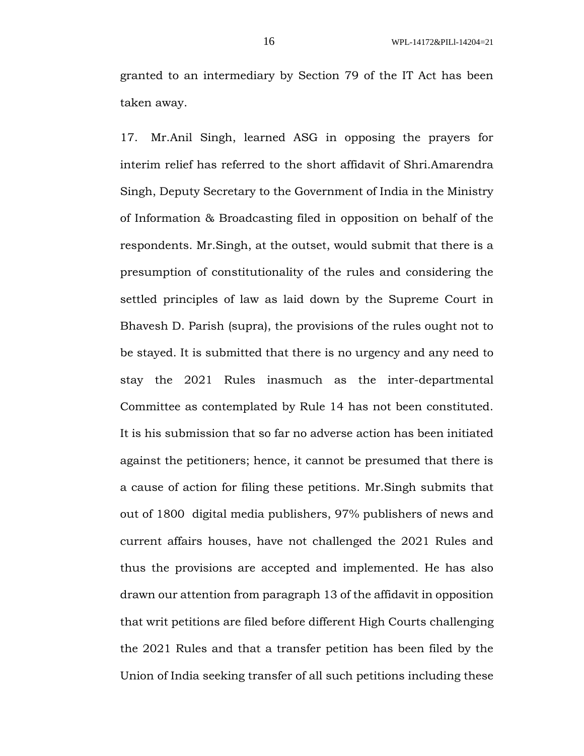granted to an intermediary by Section 79 of the IT Act has been taken away.

17. Mr.Anil Singh, learned ASG in opposing the prayers for interim relief has referred to the short affidavit of Shri.Amarendra Singh, Deputy Secretary to the Government of India in the Ministry of Information & Broadcasting filed in opposition on behalf of the respondents. Mr.Singh, at the outset, would submit that there is a presumption of constitutionality of the rules and considering the settled principles of law as laid down by the Supreme Court in Bhavesh D. Parish (supra), the provisions of the rules ought not to be stayed. It is submitted that there is no urgency and any need to stay the 2021 Rules inasmuch as the inter-departmental Committee as contemplated by Rule 14 has not been constituted. It is his submission that so far no adverse action has been initiated against the petitioners; hence, it cannot be presumed that there is a cause of action for filing these petitions. Mr.Singh submits that out of 1800 digital media publishers, 97% publishers of news and current affairs houses, have not challenged the 2021 Rules and thus the provisions are accepted and implemented. He has also drawn our attention from paragraph 13 of the affidavit in opposition that writ petitions are filed before different High Courts challenging the 2021 Rules and that a transfer petition has been filed by the Union of India seeking transfer of all such petitions including these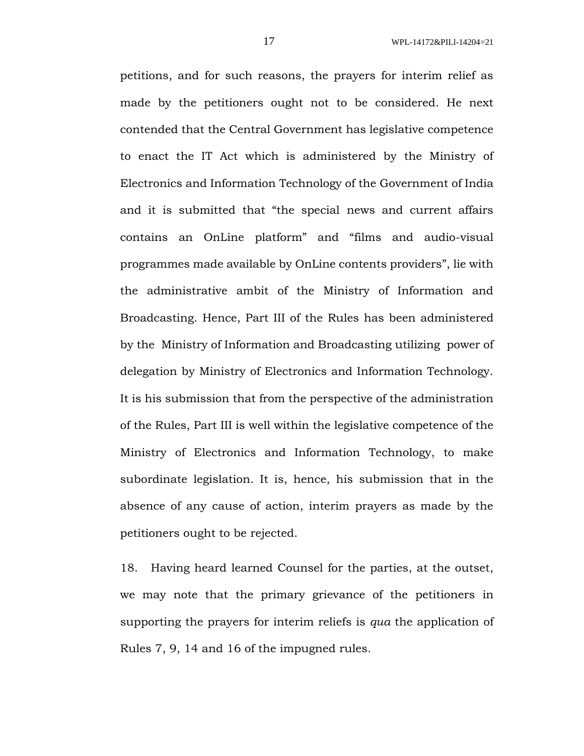petitions, and for such reasons, the prayers for interim relief as made by the petitioners ought not to be considered. He next contended that the Central Government has legislative competence to enact the IT Act which is administered by the Ministry of Electronics and Information Technology of the Government of India and it is submitted that "the special news and current affairs contains an OnLine platform" and "films and audio-visual programmes made available by OnLine contents providers", lie with the administrative ambit of the Ministry of Information and Broadcasting. Hence, Part III of the Rules has been administered by the Ministry of Information and Broadcasting utilizing power of delegation by Ministry of Electronics and Information Technology. It is his submission that from the perspective of the administration of the Rules, Part III is well within the legislative competence of the Ministry of Electronics and Information Technology, to make subordinate legislation. It is, hence, his submission that in the absence of any cause of action, interim prayers as made by the petitioners ought to be rejected.

18. Having heard learned Counsel for the parties, at the outset, we may note that the primary grievance of the petitioners in supporting the prayers for interim reliefs is *qua* the application of Rules 7, 9, 14 and 16 of the impugned rules.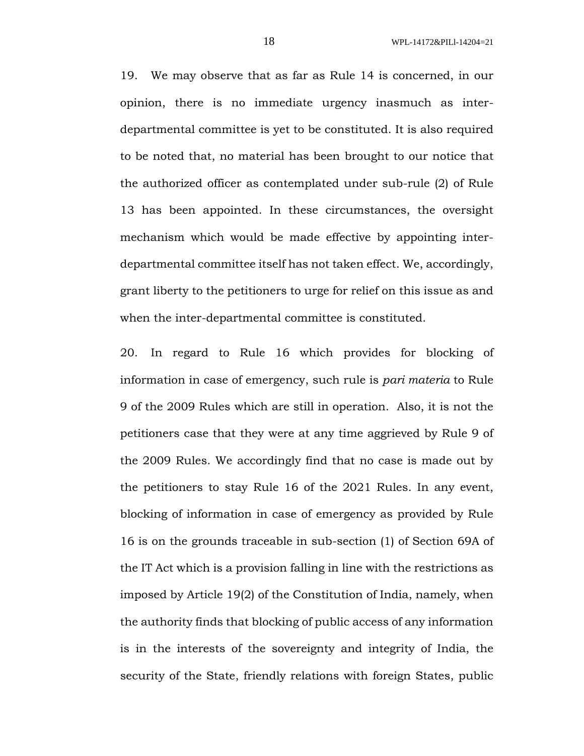19. We may observe that as far as Rule 14 is concerned, in our opinion, there is no immediate urgency inasmuch as interdepartmental committee is yet to be constituted. It is also required to be noted that, no material has been brought to our notice that the authorized officer as contemplated under sub-rule (2) of Rule 13 has been appointed. In these circumstances, the oversight mechanism which would be made effective by appointing interdepartmental committee itself has not taken effect. We, accordingly, grant liberty to the petitioners to urge for relief on this issue as and when the inter-departmental committee is constituted.

20. In regard to Rule 16 which provides for blocking of information in case of emergency, such rule is *pari materia* to Rule 9 of the 2009 Rules which are still in operation. Also, it is not the petitioners case that they were at any time aggrieved by Rule 9 of the 2009 Rules. We accordingly find that no case is made out by the petitioners to stay Rule 16 of the 2021 Rules. In any event, blocking of information in case of emergency as provided by Rule 16 is on the grounds traceable in sub-section (1) of Section 69A of the IT Act which is a provision falling in line with the restrictions as imposed by Article 19(2) of the Constitution of India, namely, when the authority finds that blocking of public access of any information is in the interests of the sovereignty and integrity of India, the security of the State, friendly relations with foreign States, public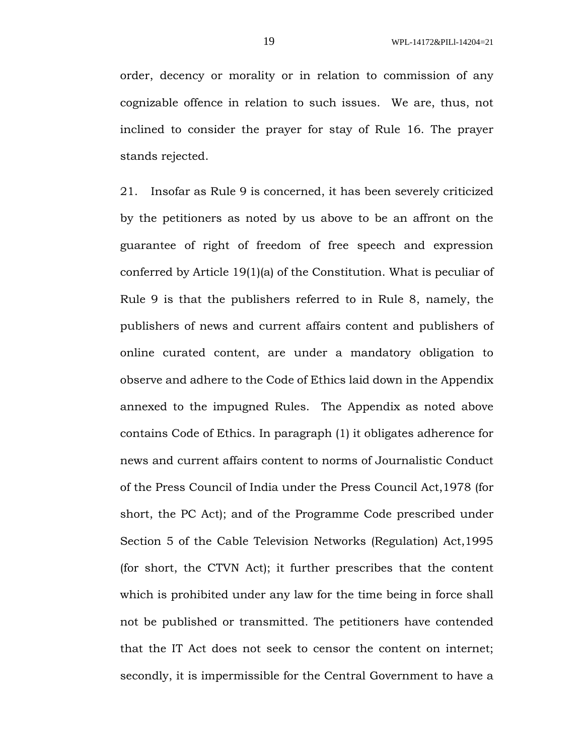order, decency or morality or in relation to commission of any cognizable offence in relation to such issues. We are, thus, not inclined to consider the prayer for stay of Rule 16. The prayer stands rejected.

21. Insofar as Rule 9 is concerned, it has been severely criticized by the petitioners as noted by us above to be an affront on the guarantee of right of freedom of free speech and expression conferred by Article 19(1)(a) of the Constitution. What is peculiar of Rule 9 is that the publishers referred to in Rule 8, namely, the publishers of news and current affairs content and publishers of online curated content, are under a mandatory obligation to observe and adhere to the Code of Ethics laid down in the Appendix annexed to the impugned Rules. The Appendix as noted above contains Code of Ethics. In paragraph (1) it obligates adherence for news and current affairs content to norms of Journalistic Conduct of the Press Council of India under the Press Council Act,1978 (for short, the PC Act); and of the Programme Code prescribed under Section 5 of the Cable Television Networks (Regulation) Act,1995 (for short, the CTVN Act); it further prescribes that the content which is prohibited under any law for the time being in force shall not be published or transmitted. The petitioners have contended that the IT Act does not seek to censor the content on internet; secondly, it is impermissible for the Central Government to have a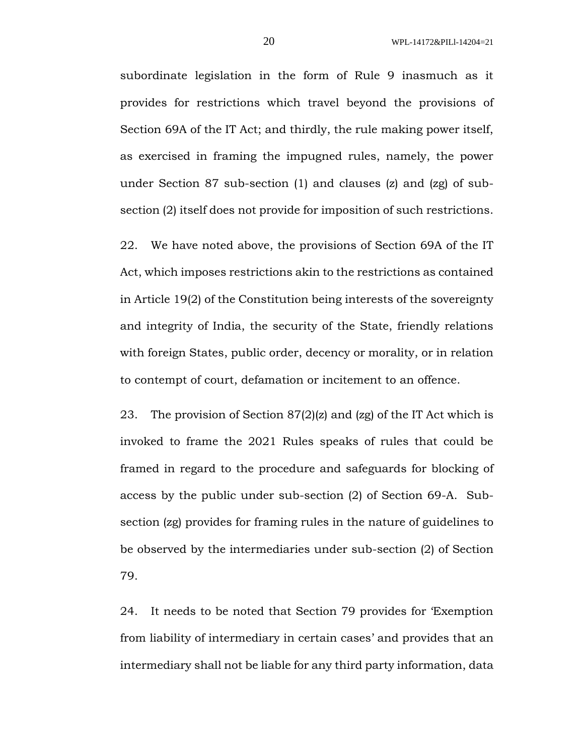subordinate legislation in the form of Rule 9 inasmuch as it provides for restrictions which travel beyond the provisions of Section 69A of the IT Act; and thirdly, the rule making power itself, as exercised in framing the impugned rules, namely, the power under Section 87 sub-section (1) and clauses (z) and (zg) of subsection (2) itself does not provide for imposition of such restrictions.

22. We have noted above, the provisions of Section 69A of the IT Act, which imposes restrictions akin to the restrictions as contained in Article 19(2) of the Constitution being interests of the sovereignty and integrity of India, the security of the State, friendly relations with foreign States, public order, decency or morality, or in relation to contempt of court, defamation or incitement to an offence.

23. The provision of Section 87(2)(z) and (zg) of the IT Act which is invoked to frame the 2021 Rules speaks of rules that could be framed in regard to the procedure and safeguards for blocking of access by the public under sub-section (2) of Section 69-A. Subsection (zg) provides for framing rules in the nature of guidelines to be observed by the intermediaries under sub-section (2) of Section 79.

24. It needs to be noted that Section 79 provides for 'Exemption from liability of intermediary in certain cases' and provides that an intermediary shall not be liable for any third party information, data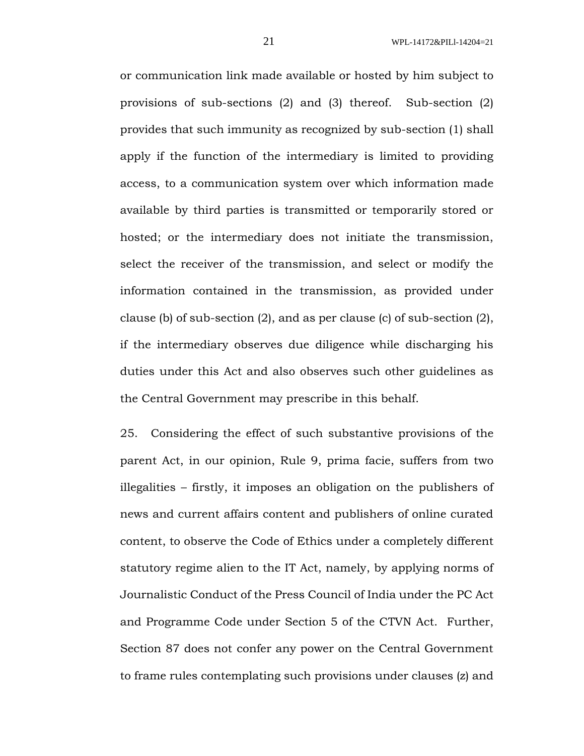or communication link made available or hosted by him subject to provisions of sub-sections (2) and (3) thereof. Sub-section (2) provides that such immunity as recognized by sub-section (1) shall apply if the function of the intermediary is limited to providing access, to a communication system over which information made available by third parties is transmitted or temporarily stored or hosted; or the intermediary does not initiate the transmission, select the receiver of the transmission, and select or modify the information contained in the transmission, as provided under clause (b) of sub-section (2), and as per clause (c) of sub-section (2), if the intermediary observes due diligence while discharging his duties under this Act and also observes such other guidelines as the Central Government may prescribe in this behalf.

25. Considering the effect of such substantive provisions of the parent Act, in our opinion, Rule 9, prima facie, suffers from two illegalities – firstly, it imposes an obligation on the publishers of news and current affairs content and publishers of online curated content, to observe the Code of Ethics under a completely different statutory regime alien to the IT Act, namely, by applying norms of Journalistic Conduct of the Press Council of India under the PC Act and Programme Code under Section 5 of the CTVN Act. Further, Section 87 does not confer any power on the Central Government to frame rules contemplating such provisions under clauses (z) and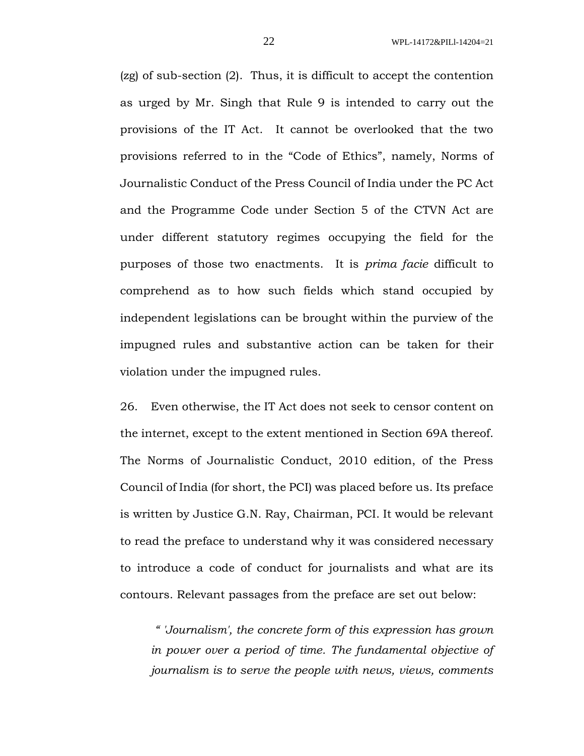(zg) of sub-section (2). Thus, it is difficult to accept the contention as urged by Mr. Singh that Rule 9 is intended to carry out the provisions of the IT Act. It cannot be overlooked that the two provisions referred to in the "Code of Ethics", namely, Norms of Journalistic Conduct of the Press Council of India under the PC Act and the Programme Code under Section 5 of the CTVN Act are under different statutory regimes occupying the field for the purposes of those two enactments. It is *prima facie* difficult to comprehend as to how such fields which stand occupied by independent legislations can be brought within the purview of the impugned rules and substantive action can be taken for their violation under the impugned rules.

26. Even otherwise, the IT Act does not seek to censor content on the internet, except to the extent mentioned in Section 69A thereof. The Norms of Journalistic Conduct, 2010 edition, of the Press Council of India (for short, the PCI) was placed before us. Its preface is written by Justice G.N. Ray, Chairman, PCI. It would be relevant to read the preface to understand why it was considered necessary to introduce a code of conduct for journalists and what are its contours. Relevant passages from the preface are set out below:

*" 'Journalism', the concrete form of this expression has grown in power over a period of time. The fundamental objective of journalism is to serve the people with news, views, comments*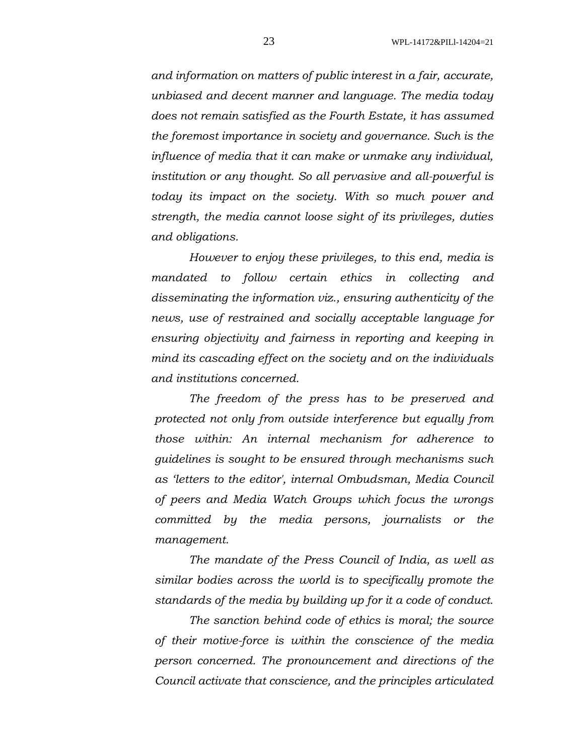*and information on matters of public interest in a fair, accurate, unbiased and decent manner and language. The media today does not remain satisfied as the Fourth Estate, it has assumed the foremost importance in society and governance. Such is the influence of media that it can make or unmake any individual, institution or any thought. So all pervasive and all-powerful is today its impact on the society. With so much power and strength, the media cannot loose sight of its privileges, duties and obligations.*

*However to enjoy these privileges, to this end, media is mandated to follow certain ethics in collecting and disseminating the information viz., ensuring authenticity of the news, use of restrained and socially acceptable language for ensuring objectivity and fairness in reporting and keeping in mind its cascading effect on the society and on the individuals and institutions concerned.* 

*The freedom of the press has to be preserved and protected not only from outside interference but equally from those within: An internal mechanism for adherence to guidelines is sought to be ensured through mechanisms such as 'letters to the editor', internal Ombudsman, Media Council of peers and Media Watch Groups which focus the wrongs committed by the media persons, journalists or the management.* 

*The mandate of the Press Council of India, as well as similar bodies across the world is to specifically promote the standards of the media by building up for it a code of conduct.*

*The sanction behind code of ethics is moral; the source of their motive-force is within the conscience of the media person concerned. The pronouncement and directions of the Council activate that conscience, and the principles articulated*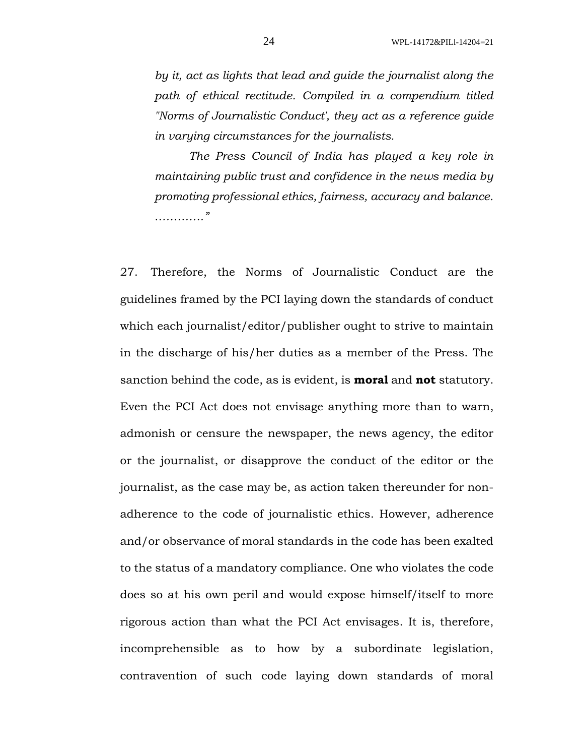*by it, act as lights that lead and guide the journalist along the path of ethical rectitude. Compiled in a compendium titled "Norms of Journalistic Conduct', they act as a reference guide in varying circumstances for the journalists.* 

*The Press Council of India has played a key role in maintaining public trust and confidence in the news media by promoting professional ethics, fairness, accuracy and balance. …………."*

27. Therefore, the Norms of Journalistic Conduct are the guidelines framed by the PCI laying down the standards of conduct which each journalist/editor/publisher ought to strive to maintain in the discharge of his/her duties as a member of the Press. The sanction behind the code, as is evident, is **moral** and **not** statutory. Even the PCI Act does not envisage anything more than to warn, admonish or censure the newspaper, the news agency, the editor or the journalist, or disapprove the conduct of the editor or the journalist, as the case may be, as action taken thereunder for nonadherence to the code of journalistic ethics. However, adherence and/or observance of moral standards in the code has been exalted to the status of a mandatory compliance. One who violates the code does so at his own peril and would expose himself/itself to more rigorous action than what the PCI Act envisages. It is, therefore, incomprehensible as to how by a subordinate legislation, contravention of such code laying down standards of moral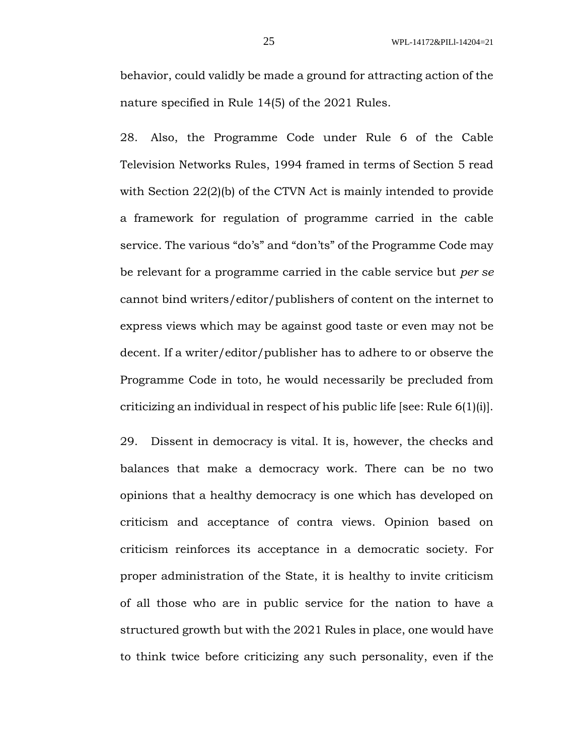behavior, could validly be made a ground for attracting action of the nature specified in Rule 14(5) of the 2021 Rules.

28. Also, the Programme Code under Rule 6 of the Cable Television Networks Rules, 1994 framed in terms of Section 5 read with Section 22(2)(b) of the CTVN Act is mainly intended to provide a framework for regulation of programme carried in the cable service. The various "do's" and "don'ts" of the Programme Code may be relevant for a programme carried in the cable service but *per se* cannot bind writers/editor/publishers of content on the internet to express views which may be against good taste or even may not be decent. If a writer/editor/publisher has to adhere to or observe the Programme Code in toto, he would necessarily be precluded from criticizing an individual in respect of his public life [see: Rule 6(1)(i)].

29. Dissent in democracy is vital. It is, however, the checks and balances that make a democracy work. There can be no two opinions that a healthy democracy is one which has developed on criticism and acceptance of contra views. Opinion based on criticism reinforces its acceptance in a democratic society. For proper administration of the State, it is healthy to invite criticism of all those who are in public service for the nation to have a structured growth but with the 2021 Rules in place, one would have to think twice before criticizing any such personality, even if the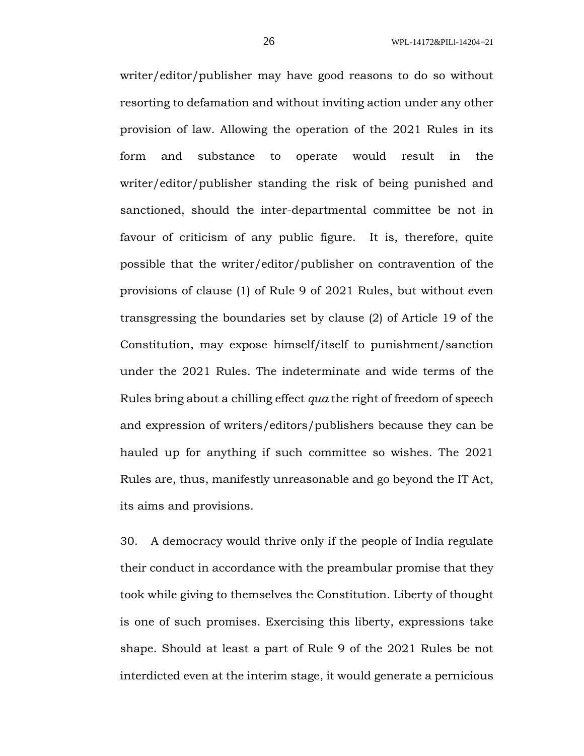writer/editor/publisher may have good reasons to do so without resorting to defamation and without inviting action under any other provision of law. Allowing the operation of the 2021 Rules in its form and substance to operate would result in the writer/editor/publisher standing the risk of being punished and sanctioned, should the inter-departmental committee be not in favour of criticism of any public figure. It is, therefore, quite possible that the writer/editor/publisher on contravention of the provisions of clause (1) of Rule 9 of 2021 Rules, but without even transgressing the boundaries set by clause (2) of Article 19 of the Constitution, may expose himself/itself to punishment/sanction under the 2021 Rules. The indeterminate and wide terms of the Rules bring about a chilling effect *qua* the right of freedom of speech and expression of writers/editors/publishers because they can be hauled up for anything if such committee so wishes. The 2021 Rules are, thus, manifestly unreasonable and go beyond the IT Act, its aims and provisions.

30. A democracy would thrive only if the people of India regulate their conduct in accordance with the preambular promise that they took while giving to themselves the Constitution. Liberty of thought is one of such promises. Exercising this liberty, expressions take shape. Should at least a part of Rule 9 of the 2021 Rules be not interdicted even at the interim stage, it would generate a pernicious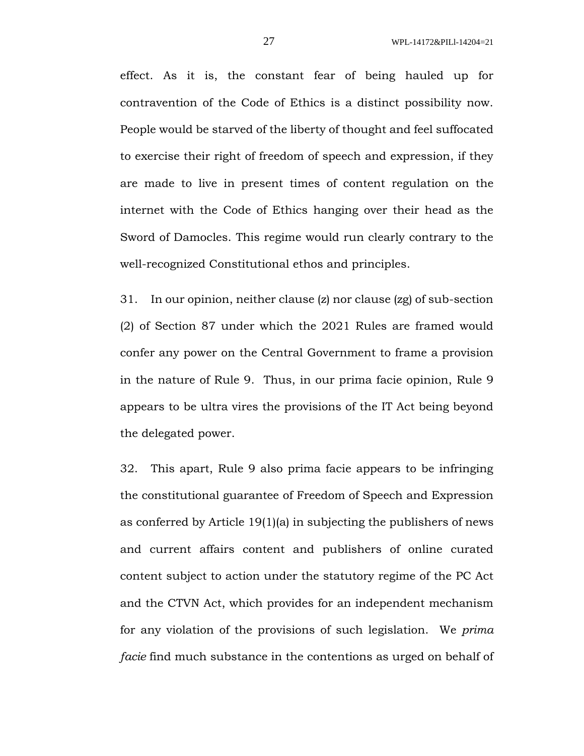effect. As it is, the constant fear of being hauled up for contravention of the Code of Ethics is a distinct possibility now. People would be starved of the liberty of thought and feel suffocated to exercise their right of freedom of speech and expression, if they are made to live in present times of content regulation on the internet with the Code of Ethics hanging over their head as the Sword of Damocles. This regime would run clearly contrary to the well-recognized Constitutional ethos and principles.

31. In our opinion, neither clause (z) nor clause (zg) of sub-section (2) of Section 87 under which the 2021 Rules are framed would confer any power on the Central Government to frame a provision in the nature of Rule 9. Thus, in our prima facie opinion, Rule 9 appears to be ultra vires the provisions of the IT Act being beyond the delegated power.

32. This apart, Rule 9 also prima facie appears to be infringing the constitutional guarantee of Freedom of Speech and Expression as conferred by Article 19(1)(a) in subjecting the publishers of news and current affairs content and publishers of online curated content subject to action under the statutory regime of the PC Act and the CTVN Act, which provides for an independent mechanism for any violation of the provisions of such legislation. We *prima facie* find much substance in the contentions as urged on behalf of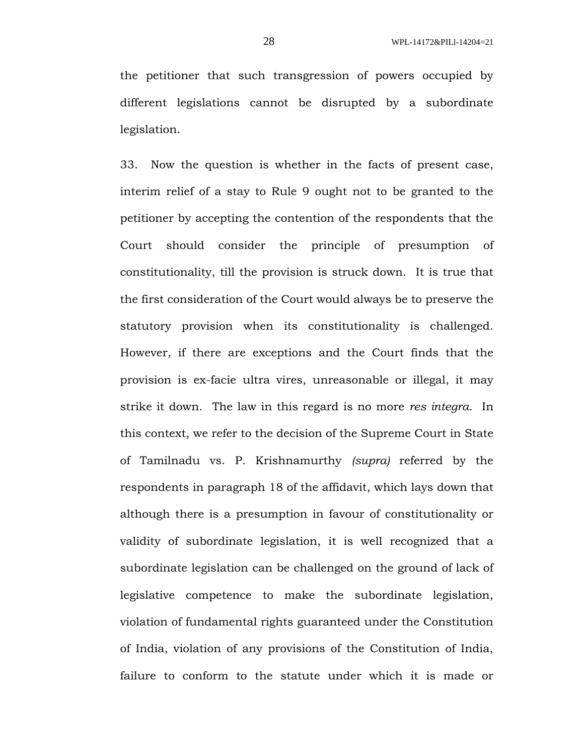the petitioner that such transgression of powers occupied by different legislations cannot be disrupted by a subordinate legislation.

33. Now the question is whether in the facts of present case, interim relief of a stay to Rule 9 ought not to be granted to the petitioner by accepting the contention of the respondents that the Court should consider the principle of presumption of constitutionality, till the provision is struck down. It is true that the first consideration of the Court would always be to preserve the statutory provision when its constitutionality is challenged. However, if there are exceptions and the Court finds that the provision is ex-facie ultra vires, unreasonable or illegal, it may strike it down. The law in this regard is no more *res integra*. In this context, we refer to the decision of the Supreme Court in State of Tamilnadu vs. P. Krishnamurthy *(supra)* referred by the respondents in paragraph 18 of the affidavit, which lays down that although there is a presumption in favour of constitutionality or validity of subordinate legislation, it is well recognized that a subordinate legislation can be challenged on the ground of lack of legislative competence to make the subordinate legislation, violation of fundamental rights guaranteed under the Constitution of India, violation of any provisions of the Constitution of India, failure to conform to the statute under which it is made or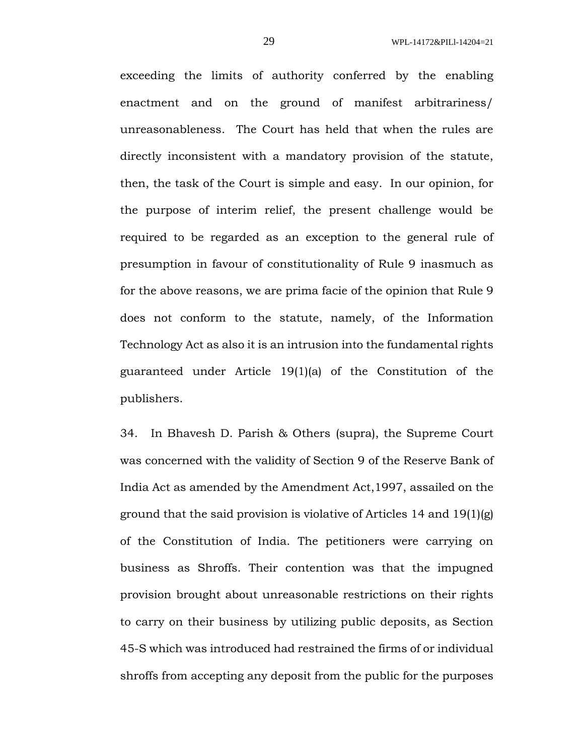exceeding the limits of authority conferred by the enabling enactment and on the ground of manifest arbitrariness/ unreasonableness. The Court has held that when the rules are directly inconsistent with a mandatory provision of the statute, then, the task of the Court is simple and easy. In our opinion, for the purpose of interim relief, the present challenge would be required to be regarded as an exception to the general rule of presumption in favour of constitutionality of Rule 9 inasmuch as for the above reasons, we are prima facie of the opinion that Rule 9 does not conform to the statute, namely, of the Information Technology Act as also it is an intrusion into the fundamental rights guaranteed under Article 19(1)(a) of the Constitution of the publishers.

34. In Bhavesh D. Parish & Others (supra), the Supreme Court was concerned with the validity of Section 9 of the Reserve Bank of India Act as amended by the Amendment Act,1997, assailed on the ground that the said provision is violative of Articles 14 and 19(1)(g) of the Constitution of India. The petitioners were carrying on business as Shroffs. Their contention was that the impugned provision brought about unreasonable restrictions on their rights to carry on their business by utilizing public deposits, as Section 45-S which was introduced had restrained the firms of or individual shroffs from accepting any deposit from the public for the purposes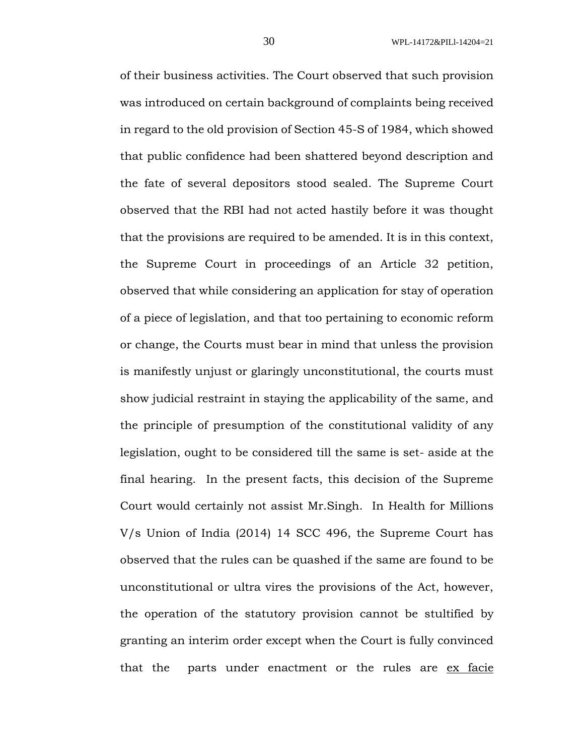of their business activities. The Court observed that such provision was introduced on certain background of complaints being received in regard to the old provision of Section 45-S of 1984, which showed that public confidence had been shattered beyond description and the fate of several depositors stood sealed. The Supreme Court observed that the RBI had not acted hastily before it was thought that the provisions are required to be amended. It is in this context, the Supreme Court in proceedings of an Article 32 petition, observed that while considering an application for stay of operation of a piece of legislation, and that too pertaining to economic reform or change, the Courts must bear in mind that unless the provision is manifestly unjust or glaringly unconstitutional, the courts must show judicial restraint in staying the applicability of the same, and the principle of presumption of the constitutional validity of any legislation, ought to be considered till the same is set- aside at the final hearing. In the present facts, this decision of the Supreme Court would certainly not assist Mr.Singh. In Health for Millions V/s Union of India (2014) 14 SCC 496, the Supreme Court has observed that the rules can be quashed if the same are found to be unconstitutional or ultra vires the provisions of the Act, however, the operation of the statutory provision cannot be stultified by granting an interim order except when the Court is fully convinced that the parts under enactment or the rules are ex facie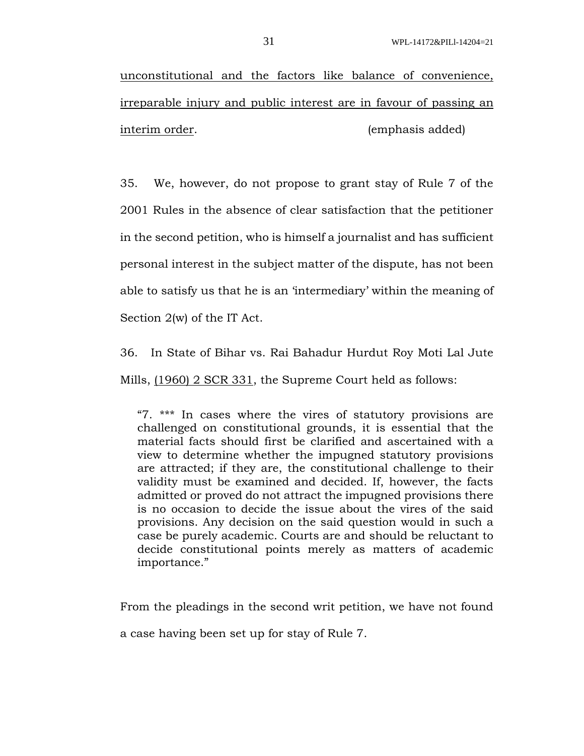unconstitutional and the factors like balance of convenience, irreparable injury and public interest are in favour of passing an interim order. (emphasis added)

35. We, however, do not propose to grant stay of Rule 7 of the 2001 Rules in the absence of clear satisfaction that the petitioner in the second petition, who is himself a journalist and has sufficient personal interest in the subject matter of the dispute, has not been able to satisfy us that he is an 'intermediary' within the meaning of Section 2(w) of the IT Act.

36. In State of Bihar vs. Rai Bahadur Hurdut Roy Moti Lal Jute Mills, (1960) 2 SCR 331, the Supreme Court held as follows:

"7. \*\*\* In cases where the vires of statutory provisions are challenged on constitutional grounds, it is essential that the material facts should first be clarified and ascertained with a view to determine whether the impugned statutory provisions are attracted; if they are, the constitutional challenge to their validity must be examined and decided. If, however, the facts admitted or proved do not attract the impugned provisions there is no occasion to decide the issue about the vires of the said provisions. Any decision on the said question would in such a case be purely academic. Courts are and should be reluctant to decide constitutional points merely as matters of academic importance."

From the pleadings in the second writ petition, we have not found

a case having been set up for stay of Rule 7.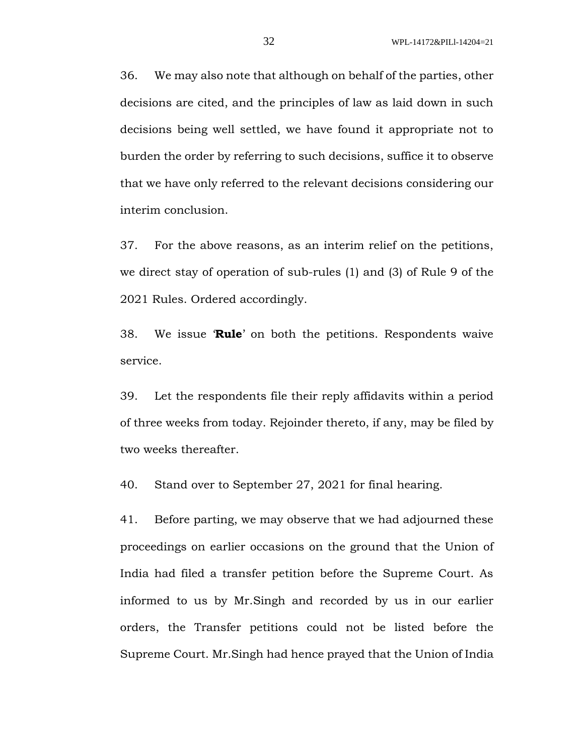36. We may also note that although on behalf of the parties, other decisions are cited, and the principles of law as laid down in such decisions being well settled, we have found it appropriate not to burden the order by referring to such decisions, suffice it to observe that we have only referred to the relevant decisions considering our interim conclusion.

37. For the above reasons, as an interim relief on the petitions, we direct stay of operation of sub-rules (1) and (3) of Rule 9 of the 2021 Rules. Ordered accordingly.

38. We issue '**Rule**' on both the petitions. Respondents waive service.

39. Let the respondents file their reply affidavits within a period of three weeks from today. Rejoinder thereto, if any, may be filed by two weeks thereafter.

40. Stand over to September 27, 2021 for final hearing.

41. Before parting, we may observe that we had adjourned these proceedings on earlier occasions on the ground that the Union of India had filed a transfer petition before the Supreme Court. As informed to us by Mr.Singh and recorded by us in our earlier orders, the Transfer petitions could not be listed before the Supreme Court. Mr.Singh had hence prayed that the Union of India